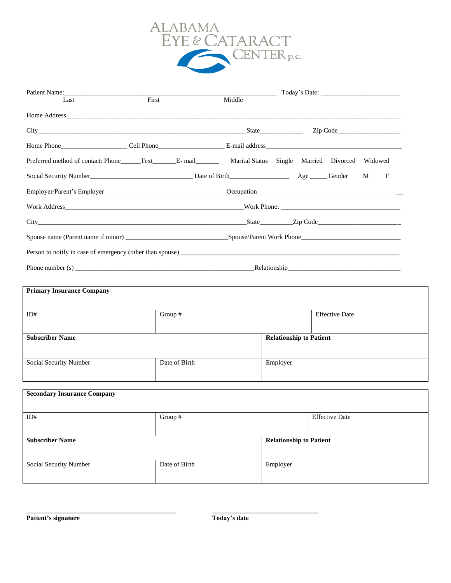

| Patient Name:                                                                                                                    |               |                                |                       |        |  |
|----------------------------------------------------------------------------------------------------------------------------------|---------------|--------------------------------|-----------------------|--------|--|
| First<br>Last                                                                                                                    | Middle        |                                |                       |        |  |
|                                                                                                                                  |               |                                |                       |        |  |
| City State Zip Code                                                                                                              |               |                                |                       |        |  |
|                                                                                                                                  |               |                                |                       |        |  |
| Preferred method of contact: Phone______Text________E- mail______________________ Marital Status Single Married Divorced Widowed |               |                                |                       |        |  |
|                                                                                                                                  |               |                                |                       | F<br>M |  |
|                                                                                                                                  |               |                                |                       |        |  |
|                                                                                                                                  |               |                                |                       |        |  |
|                                                                                                                                  |               |                                |                       |        |  |
|                                                                                                                                  |               |                                |                       |        |  |
|                                                                                                                                  |               |                                |                       |        |  |
|                                                                                                                                  |               |                                |                       |        |  |
|                                                                                                                                  |               |                                |                       |        |  |
| <b>Primary Insurance Company</b>                                                                                                 |               |                                |                       |        |  |
| ID#                                                                                                                              | Group #       |                                | <b>Effective Date</b> |        |  |
|                                                                                                                                  |               |                                |                       |        |  |
| <b>Subscriber Name</b>                                                                                                           |               | <b>Relationship to Patient</b> |                       |        |  |
| Social Security Number                                                                                                           | Date of Birth | Employer                       |                       |        |  |
|                                                                                                                                  |               |                                |                       |        |  |
| <b>Secondary Insurance Company</b>                                                                                               |               |                                |                       |        |  |
|                                                                                                                                  |               |                                |                       |        |  |
| ID#                                                                                                                              | Group #       |                                | <b>Effective Date</b> |        |  |
|                                                                                                                                  |               |                                |                       |        |  |
| <b>Subscriber Name</b>                                                                                                           |               | <b>Relationship to Patient</b> |                       |        |  |
| Social Security Number                                                                                                           | Date of Birth | Employer                       |                       |        |  |
|                                                                                                                                  |               |                                |                       |        |  |

**\_\_\_\_\_\_\_\_\_\_\_\_\_\_\_\_\_\_\_\_\_\_\_\_\_\_\_\_\_\_\_\_\_\_\_\_\_\_\_\_\_\_\_\_\_ \_\_\_\_\_\_\_\_\_\_\_\_\_\_\_\_\_\_\_\_\_\_\_\_\_\_\_\_\_\_\_\_**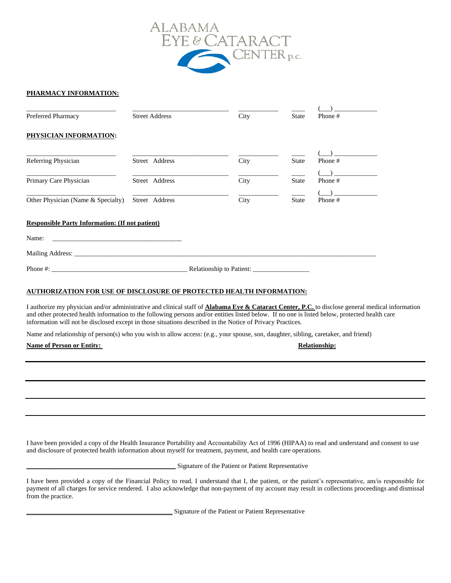

## **PHARMACY INFORMATION:**

| Preferred Pharmacy                                                        | <b>Street Address</b> | City | <b>State</b> | Phone#  |
|---------------------------------------------------------------------------|-----------------------|------|--------------|---------|
| PHYSICIAN INFORMATION:                                                    |                       |      |              |         |
| Referring Physician                                                       | Street Address        | City | <b>State</b> | Phone # |
| Primary Care Physician                                                    | Street Address        | City | <b>State</b> | Phone#  |
| Other Physician (Name & Specialty)                                        | Street Address        | City | <b>State</b> | Phone#  |
| <b>Responsible Party Information: (If not patient)</b>                    |                       |      |              |         |
| Name:                                                                     |                       |      |              |         |
|                                                                           |                       |      |              |         |
| Phone #:                                                                  |                       |      |              |         |
| TIBITORIZ LEIGN DOR HOD OR RIGH OGIERD OF BROEDGED HE LI EU INDORLLEEDING |                       |      |              |         |

## **AUTHORIZATION FOR USE OF DISCLOSURE OF PROTECTED HEALTH INFORMATION:**

I authorize my physician and/or administrative and clinical staff of **Alabama Eye & Cataract Center, P.C.** to disclose general medical information and other protected health information to the following persons and/or entities listed below. If no one is listed below, protected health care information will not be disclosed except in those situations described in the Notice of Privacy Practices.

Name and relationship of person(s) who you wish to allow access: (e.g., your spouse, son, daughter, sibling, caretaker, and friend)

## **Name of Person or Entity:** Relationship: Relationship:

I have been provided a copy of the Health Insurance Portability and Accountability Act of 1996 (HIPAA) to read and understand and consent to use and disclosure of protected health information about myself for treatment, payment, and health care operations.

**\_\_\_\_\_\_\_\_\_\_\_\_\_\_\_\_\_\_\_\_\_\_\_\_\_\_\_\_\_\_\_\_\_\_\_\_\_\_\_\_\_\_\_\_\_** Signature of the Patient or Patient Representative

I have been provided a copy of the Financial Policy to read. I understand that I, the patient, or the patient's representative, am/is responsible for payment of all charges for service rendered. I also acknowledge that non-payment of my account may result in collections proceedings and dismissal from the practice.

**\_\_\_\_\_\_\_\_\_\_\_\_\_\_\_\_\_\_\_\_\_\_\_\_\_\_\_\_\_\_\_\_\_\_\_\_\_\_\_\_\_\_\_\_** Signature of the Patient or Patient Representative